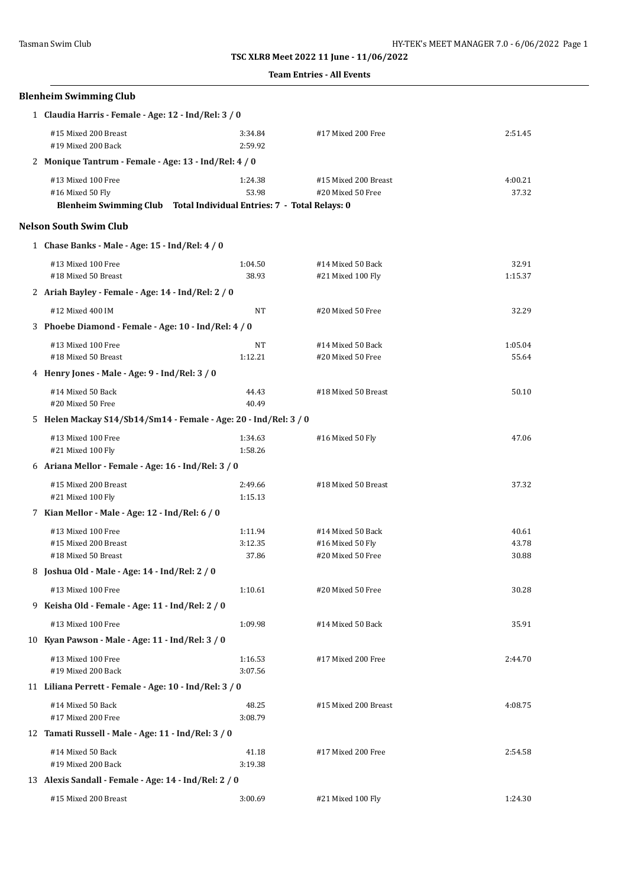### **Team Entries - All Events**

| <b>Blenheim Swimming Club</b>                                                                                  |                    |                                           |                  |  |
|----------------------------------------------------------------------------------------------------------------|--------------------|-------------------------------------------|------------------|--|
| 1 Claudia Harris - Female - Age: 12 - Ind/Rel: 3 / 0                                                           |                    |                                           |                  |  |
| #15 Mixed 200 Breast<br>#19 Mixed 200 Back                                                                     | 3:34.84<br>2:59.92 | #17 Mixed 200 Free                        | 2:51.45          |  |
| 2 Monique Tantrum - Female - Age: 13 - Ind/Rel: 4 / 0                                                          |                    |                                           |                  |  |
| #13 Mixed 100 Free<br>#16 Mixed 50 Fly<br>Blenheim Swimming Club Total Individual Entries: 7 - Total Relays: 0 | 1:24.38<br>53.98   | #15 Mixed 200 Breast<br>#20 Mixed 50 Free | 4:00.21<br>37.32 |  |
| <b>Nelson South Swim Club</b>                                                                                  |                    |                                           |                  |  |
| 1 Chase Banks - Male - Age: 15 - Ind/Rel: 4 / 0                                                                |                    |                                           |                  |  |
| #13 Mixed 100 Free<br>#18 Mixed 50 Breast                                                                      | 1:04.50<br>38.93   | #14 Mixed 50 Back<br>#21 Mixed 100 Fly    | 32.91<br>1:15.37 |  |
| 2 Ariah Bayley - Female - Age: 14 - Ind/Rel: 2 / 0                                                             |                    |                                           |                  |  |
| #12 Mixed 400 IM                                                                                               | NT                 | #20 Mixed 50 Free                         | 32.29            |  |
| 3 Phoebe Diamond - Female - Age: 10 - Ind/Rel: 4 / 0                                                           |                    |                                           |                  |  |
| #13 Mixed 100 Free<br>#18 Mixed 50 Breast                                                                      | NΤ<br>1:12.21      | #14 Mixed 50 Back<br>#20 Mixed 50 Free    | 1:05.04<br>55.64 |  |
| 4 Henry Jones - Male - Age: 9 - Ind/Rel: 3 / 0                                                                 |                    |                                           |                  |  |
| #14 Mixed 50 Back<br>#20 Mixed 50 Free                                                                         | 44.43<br>40.49     | #18 Mixed 50 Breast                       | 50.10            |  |
| 5 Helen Mackay S14/Sb14/Sm14 - Female - Age: 20 - Ind/Rel: 3 / 0                                               |                    |                                           |                  |  |
| #13 Mixed 100 Free<br>#21 Mixed 100 Fly                                                                        | 1:34.63<br>1:58.26 | #16 Mixed 50 Fly                          | 47.06            |  |
| 6 Ariana Mellor - Female - Age: 16 - Ind/Rel: 3 / 0                                                            |                    |                                           |                  |  |
| #15 Mixed 200 Breast<br>#21 Mixed 100 Fly                                                                      | 2:49.66<br>1:15.13 | #18 Mixed 50 Breast                       | 37.32            |  |
| 7 Kian Mellor - Male - Age: 12 - Ind/Rel: 6 / 0                                                                |                    |                                           |                  |  |
| #13 Mixed 100 Free                                                                                             | 1:11.94            | #14 Mixed 50 Back                         | 40.61            |  |
| #15 Mixed 200 Breast<br>#18 Mixed 50 Breast                                                                    | 3:12.35<br>37.86   | #16 Mixed 50 Fly<br>#20 Mixed 50 Free     | 43.78<br>30.88   |  |
| 8 Joshua Old - Male - Age: 14 - Ind/Rel: 2 / 0                                                                 |                    |                                           |                  |  |
| #13 Mixed 100 Free                                                                                             | 1:10.61            | #20 Mixed 50 Free                         | 30.28            |  |
| 9 Keisha Old - Female - Age: 11 - Ind/Rel: 2 / 0                                                               |                    |                                           |                  |  |
| #13 Mixed 100 Free                                                                                             | 1:09.98            | #14 Mixed 50 Back                         | 35.91            |  |
| 10 Kyan Pawson - Male - Age: 11 - Ind/Rel: 3 / 0                                                               |                    |                                           |                  |  |
| #13 Mixed 100 Free<br>#19 Mixed 200 Back                                                                       | 1:16.53<br>3:07.56 | #17 Mixed 200 Free                        | 2:44.70          |  |
| 11 Liliana Perrett - Female - Age: 10 - Ind/Rel: 3 / 0                                                         |                    |                                           |                  |  |
| #14 Mixed 50 Back<br>#17 Mixed 200 Free                                                                        | 48.25<br>3:08.79   | #15 Mixed 200 Breast                      | 4:08.75          |  |
| 12 Tamati Russell - Male - Age: 11 - Ind/Rel: 3 / 0                                                            |                    |                                           |                  |  |
| #14 Mixed 50 Back<br>#19 Mixed 200 Back                                                                        | 41.18<br>3:19.38   | #17 Mixed 200 Free                        | 2:54.58          |  |
| 13 Alexis Sandall - Female - Age: 14 - Ind/Rel: 2 / 0                                                          |                    |                                           |                  |  |
| #15 Mixed 200 Breast                                                                                           | 3:00.69            | #21 Mixed 100 Fly                         | 1:24.30          |  |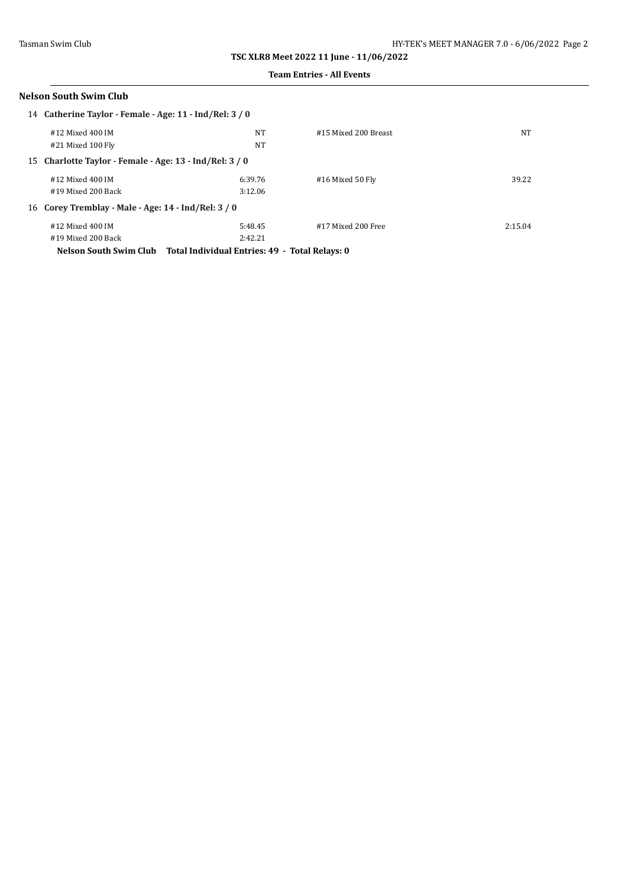#### **Team Entries - All Events**

| <b>Nelson South Swim Club</b>                           |                                                                       |                      |         |
|---------------------------------------------------------|-----------------------------------------------------------------------|----------------------|---------|
| 14 Catherine Taylor - Female - Age: 11 - Ind/Rel: 3 / 0 |                                                                       |                      |         |
| #12 Mixed 400 IM                                        | NT                                                                    | #15 Mixed 200 Breast | NT      |
| #21 Mixed 100 Fly                                       | NT                                                                    |                      |         |
| 15 Charlotte Taylor - Female - Age: 13 - Ind/Rel: 3/0   |                                                                       |                      |         |
| #12 Mixed 400 IM                                        | 6:39.76                                                               | #16 Mixed 50 Fly     | 39.22   |
| #19 Mixed 200 Back                                      | 3:12.06                                                               |                      |         |
| 16 Corey Tremblay - Male - Age: 14 - Ind/Rel: 3 / 0     |                                                                       |                      |         |
| #12 Mixed 400 IM                                        | 5:48.45                                                               | #17 Mixed 200 Free   | 2:15.04 |
| #19 Mixed 200 Back                                      | 2:42.21                                                               |                      |         |
|                                                         | Nelson South Swim Club Total Individual Entries: 49 - Total Relays: 0 |                      |         |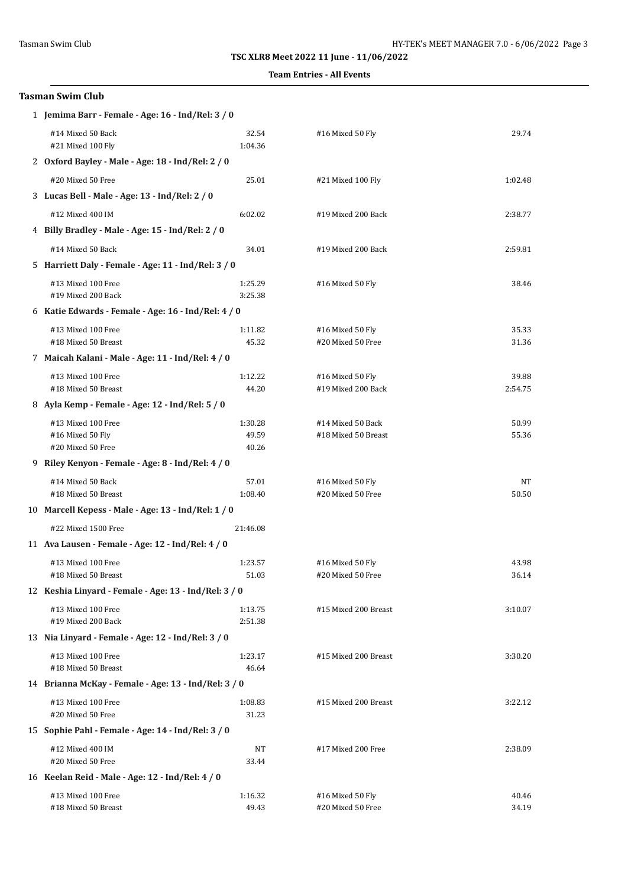#### **Team Entries - All Events**

| <b>Tasman Swim Club</b>                                                |                    |                                        |                  |  |
|------------------------------------------------------------------------|--------------------|----------------------------------------|------------------|--|
| 1 Jemima Barr - Female - Age: 16 - Ind/Rel: 3 / 0                      |                    |                                        |                  |  |
| #14 Mixed 50 Back<br>#21 Mixed 100 Fly                                 | 32.54<br>1:04.36   | #16 Mixed 50 Fly                       | 29.74            |  |
| 2 Oxford Bayley - Male - Age: 18 - Ind/Rel: 2 / 0                      |                    |                                        |                  |  |
| #20 Mixed 50 Free                                                      | 25.01              | #21 Mixed 100 Fly                      | 1:02.48          |  |
| 3 Lucas Bell - Male - Age: 13 - Ind/Rel: 2 / 0                         |                    |                                        |                  |  |
| #12 Mixed 400 IM                                                       | 6:02.02            | #19 Mixed 200 Back                     | 2:38.77          |  |
| 4 Billy Bradley - Male - Age: 15 - Ind/Rel: 2 / 0                      |                    |                                        |                  |  |
| #14 Mixed 50 Back                                                      | 34.01              | #19 Mixed 200 Back                     | 2:59.81          |  |
| 5 Harriett Daly - Female - Age: 11 - Ind/Rel: 3 / 0                    |                    |                                        |                  |  |
| #13 Mixed 100 Free<br>#19 Mixed 200 Back                               | 1:25.29<br>3:25.38 | #16 Mixed 50 Fly                       | 38.46            |  |
| 6 Katie Edwards - Female - Age: 16 - Ind/Rel: 4 / 0                    |                    |                                        |                  |  |
| #13 Mixed 100 Free                                                     | 1:11.82            | #16 Mixed 50 Fly                       | 35.33            |  |
| #18 Mixed 50 Breast                                                    | 45.32              | #20 Mixed 50 Free                      | 31.36            |  |
| 7 Maicah Kalani - Male - Age: 11 - Ind/Rel: 4 / 0                      |                    |                                        |                  |  |
| #13 Mixed 100 Free<br>#18 Mixed 50 Breast                              | 1:12.22<br>44.20   | #16 Mixed 50 Fly<br>#19 Mixed 200 Back | 39.88<br>2:54.75 |  |
| 8 Ayla Kemp - Female - Age: 12 - Ind/Rel: 5 / 0                        |                    |                                        |                  |  |
| #13 Mixed 100 Free                                                     | 1:30.28            | #14 Mixed 50 Back                      | 50.99            |  |
| #16 Mixed 50 Fly                                                       | 49.59              | #18 Mixed 50 Breast                    | 55.36            |  |
| #20 Mixed 50 Free<br>9 Riley Kenyon - Female - Age: 8 - Ind/Rel: 4 / 0 | 40.26              |                                        |                  |  |
|                                                                        |                    |                                        |                  |  |
| #14 Mixed 50 Back<br>#18 Mixed 50 Breast                               | 57.01<br>1:08.40   | #16 Mixed 50 Fly<br>#20 Mixed 50 Free  | NT<br>50.50      |  |
| 10 Marcell Kepess - Male - Age: 13 - Ind/Rel: 1 / 0                    |                    |                                        |                  |  |
| #22 Mixed 1500 Free<br>21:46.08                                        |                    |                                        |                  |  |
| 11 Ava Lausen - Female - Age: 12 - Ind/Rel: 4 / 0                      |                    |                                        |                  |  |
| #13 Mixed 100 Free<br>#18 Mixed 50 Breast                              | 1:23.57<br>51.03   | #16 Mixed 50 Fly<br>#20 Mixed 50 Free  | 43.98<br>36.14   |  |
| 12 Keshia Linyard - Female - Age: 13 - Ind/Rel: 3 / 0                  |                    |                                        |                  |  |
| #13 Mixed 100 Free                                                     | 1:13.75            | #15 Mixed 200 Breast                   | 3:10.07          |  |
| #19 Mixed 200 Back                                                     | 2:51.38            |                                        |                  |  |
| 13 Nia Linyard - Female - Age: 12 - Ind/Rel: 3 / 0                     |                    |                                        |                  |  |
| #13 Mixed 100 Free<br>#18 Mixed 50 Breast                              | 1:23.17<br>46.64   | #15 Mixed 200 Breast                   | 3:30.20          |  |
| 14 Brianna McKay - Female - Age: 13 - Ind/Rel: 3 / 0                   |                    |                                        |                  |  |
| #13 Mixed 100 Free<br>#20 Mixed 50 Free                                | 1:08.83<br>31.23   | #15 Mixed 200 Breast                   | 3:22.12          |  |
| 15 Sophie Pahl - Female - Age: 14 - Ind/Rel: 3 / 0                     |                    |                                        |                  |  |
| #12 Mixed 400 IM                                                       | NT                 | #17 Mixed 200 Free                     | 2:38.09          |  |
| #20 Mixed 50 Free                                                      | 33.44              |                                        |                  |  |
| 16 Keelan Reid - Male - Age: 12 - Ind/Rel: 4 / 0                       |                    |                                        |                  |  |
| #13 Mixed 100 Free<br>#18 Mixed 50 Breast                              | 1:16.32<br>49.43   | #16 Mixed 50 Fly<br>#20 Mixed 50 Free  | 40.46<br>34.19   |  |